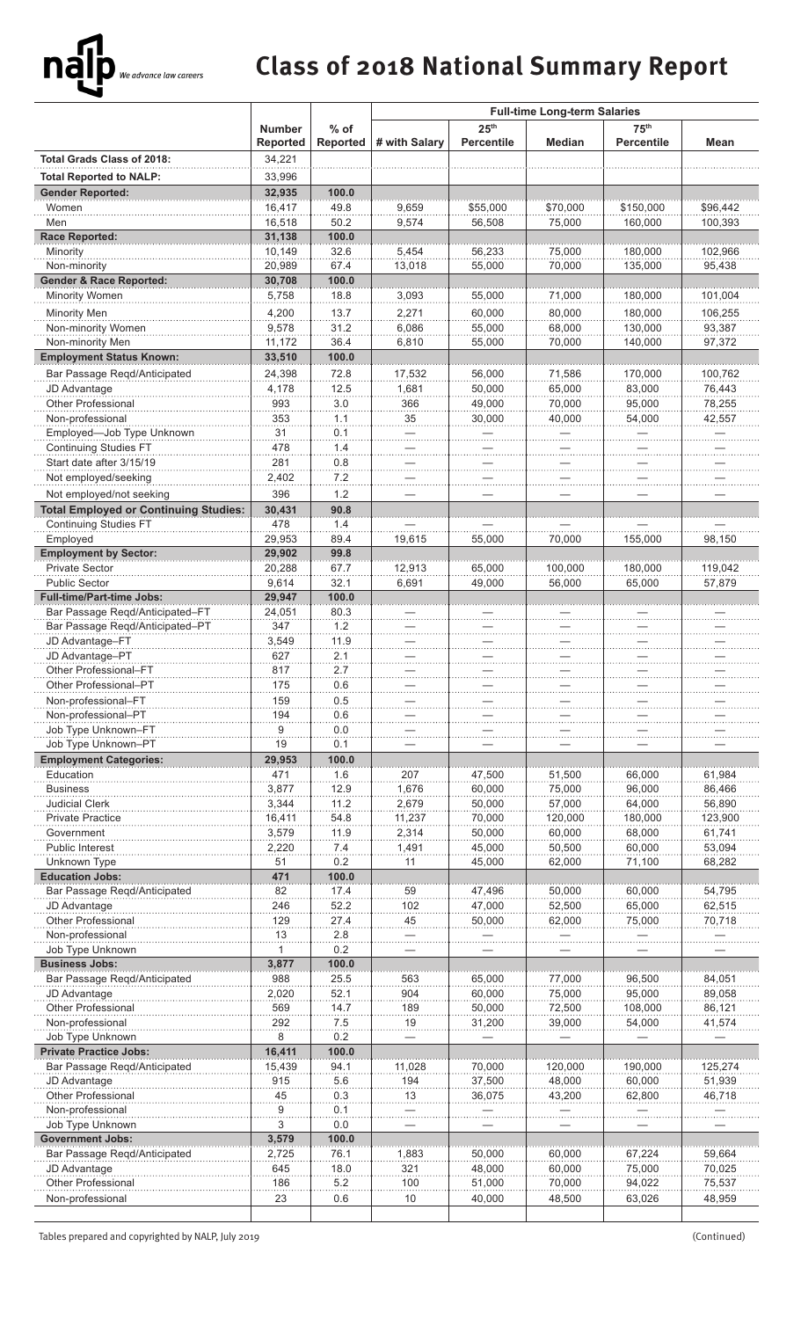## **Class of 2018 National Summary Report**

|                                                        |                                  |                    | <b>Full-time Long-term Salaries</b> |                                       |                  |                                       |                  |
|--------------------------------------------------------|----------------------------------|--------------------|-------------------------------------|---------------------------------------|------------------|---------------------------------------|------------------|
|                                                        | <b>Number</b><br><b>Reported</b> | $%$ of<br>Reported | # with Salary                       | 25 <sup>th</sup><br><b>Percentile</b> | <b>Median</b>    | 75 <sup>th</sup><br><b>Percentile</b> | Mean             |
| <b>Total Grads Class of 2018:</b>                      | 34,221                           |                    |                                     |                                       |                  |                                       |                  |
| <b>Total Reported to NALP:</b>                         | 33,996                           |                    |                                     |                                       |                  |                                       |                  |
| <b>Gender Reported:</b>                                | 32,935                           | 100.0              |                                     |                                       |                  |                                       |                  |
| Women                                                  | 16,417                           | 49.8               | 9.659                               | \$55,000                              | \$70,000         | \$150,000                             | \$96,442         |
| Men<br><b>Race Reported:</b>                           | 16,518<br>31,138                 | 50.2<br>100.0      | 9,574                               | 56,508                                | 75,000           | 160,000                               | 100,393          |
| Minority                                               | 10,149                           | 32.6               | 5,454                               | 56,233                                | 75,000           | 180,000                               | 102,966          |
| Non-minority                                           | 20,989                           | 67.4               | 13,018                              | 55,000                                | 70,000           | 135,000                               | 95,438           |
| <b>Gender &amp; Race Reported:</b>                     | 30,708                           | 100.0              |                                     |                                       |                  |                                       |                  |
| Minority Women                                         | 5,758                            | 18.8               | 3,093                               | 55,000                                | 71,000           | 180,000                               | 101,004          |
| Minority Men                                           | 4,200                            | 13.7               | 2,271                               | 60,000                                | 80,000           | 180,000                               | 106,255          |
| Non-minority Women                                     | 9,578                            | 31.2               | 6,086                               | 55,000                                | 68,000           | 130,000                               | 93,387           |
| Non-minority Men                                       | 11,172                           | 36.4               | 6,810                               | 55,000                                | 70,000           | 140,000                               | 97,372           |
| <b>Employment Status Known:</b>                        | 33,510                           | 100.0              |                                     |                                       |                  |                                       |                  |
| Bar Passage Regd/Anticipated                           | 24,398                           | 72.8               | 17,532                              | 56,000                                | 71,586           | 170.000                               | 100,762          |
| JD Advantage<br>Other Professional                     | 4,178<br>993                     | 12.5<br>3.0        | 1,681<br>366                        | 50,000<br>49,000                      | 65,000<br>70,000 | 83,000<br>95,000                      | 76,443<br>78,255 |
| Non-professional                                       | 353                              | 1.1                | 35                                  | 30,000                                | 40,000           | 54,000                                | 42,557           |
| Employed-Job Type Unknown                              | 31                               | 0.1                |                                     |                                       |                  |                                       |                  |
| <b>Continuing Studies FT</b>                           | 478                              | 1.4                |                                     |                                       |                  |                                       |                  |
| Start date after 3/15/19                               | 281                              | 0.8                |                                     |                                       |                  |                                       |                  |
| Not employed/seeking                                   | 2,402                            | 7.2                |                                     |                                       |                  |                                       |                  |
| Not employed/not seeking                               | 396                              | 1.2                |                                     |                                       |                  |                                       |                  |
| <b>Total Employed or Continuing Studies:</b>           | 30,431                           | 90.8               |                                     |                                       |                  |                                       |                  |
| Continuing Studies FT                                  | 478                              | 1.4                |                                     |                                       |                  |                                       |                  |
| Employed<br><b>Employment by Sector:</b>               | 29,953<br>29,902                 | 89.4<br>99.8       | 19,615                              | 55,000                                | 70,000           | 155,000                               | 98,150           |
| Private Sector                                         | 20,288                           | 67.7               | 12,913                              | 65,000                                | 100,000          | 180,000                               | 119,042          |
| <b>Public Sector</b>                                   | 9,614                            | 32.1               | 6,691                               | 49,000                                | 56,000           | 65,000                                | 57,879           |
| <b>Full-time/Part-time Jobs:</b>                       | 29,947                           | 100.0              |                                     |                                       |                  |                                       |                  |
| Bar Passage Regd/Anticipated-FT                        | 24,051                           | 80.3               |                                     |                                       |                  |                                       |                  |
| Bar Passage Reqd/Anticipated-PT                        | 347                              | 1.2                |                                     |                                       |                  |                                       |                  |
| JD Advantage-FT<br>JD Advantage-PT                     | 3,549<br>627                     | 11.9<br>2.1        |                                     |                                       |                  |                                       |                  |
| Other Professional-FT                                  | 817                              | 2.7                |                                     |                                       |                  |                                       |                  |
| Other Professional-PT                                  | 175                              | 0.6                |                                     |                                       |                  |                                       |                  |
| Non-professional-FT                                    | 159                              | 0.5                |                                     |                                       |                  |                                       |                  |
| Non-professional-PT                                    | 194                              | 0.6                |                                     |                                       |                  |                                       |                  |
| Job Type Unknown-FT                                    | 9                                | 0.0                |                                     |                                       |                  |                                       |                  |
| Job Type Unknown-PT                                    | 19                               | 0.1                |                                     |                                       |                  |                                       |                  |
| <b>Employment Categories:</b><br>Education             | 29,953<br>471                    | 100.0<br>1.6       | 207                                 | 47,500                                | 51,500           | 66,000                                | 61.984           |
| <b>Business</b>                                        | 3,877                            | 12.9               | 1,676                               | 60,000                                | 75,000           | 96,000                                | 86,466           |
| <b>Judicial Clerk</b>                                  | 3,344                            | 11.2               | 2,679                               | 50,000                                | 57,000           | 64,000                                | 56,890           |
| <b>Private Practice</b>                                | 16,411                           | 54.8               | 11,237                              | 70,000                                | 120,000          | 180,000                               | 123,900          |
| Government                                             | 3,579                            | 11.9               | 2,314                               | 50,000                                | 60,000           | 68,000                                | 61,741           |
| <b>Public Interest</b>                                 | 2,220                            | 7.4                | 1,491                               | 45,000                                | 50,500           | 60,000                                | 53,094           |
| Unknown Type                                           | 51<br>471                        | 0.2<br>100.0       | 11                                  | 45,000                                | 62,000           | 71,100                                | 68,282           |
| <b>Education Jobs:</b><br>Bar Passage Reqd/Anticipated | 82                               | 17.4               | 59                                  | 47,496                                | 50,000           | 60,000                                | 54,795           |
| JD Advantage                                           | 246                              | 52.2               | 102                                 | 47,000                                | 52,500           | 65,000                                | 62,515           |
| <b>Other Professional</b>                              | 129                              | 27.4               | 45                                  | 50,000                                | 62,000           | 75,000                                | 70,718           |
| Non-professional                                       | 13                               | 2.8                |                                     |                                       |                  |                                       |                  |
| Job Type Unknown                                       | 1                                | 0.2                |                                     |                                       |                  |                                       |                  |
| <b>Business Jobs:</b>                                  | 3,877                            | 100.0              |                                     |                                       |                  |                                       |                  |
| Bar Passage Reqd/Anticipated                           | 988<br>2,020                     | 25.5<br>52.1       | 563<br>904                          | 65,000<br>60,000                      | 77,000<br>75,000 | 96,500<br>95,000                      | 84,051<br>89,058 |
| JD Advantage<br><b>Other Professional</b>              | 569                              | 14.7               | 189                                 | 50,000                                | 72,500           | 108,000                               | 86,121           |
| Non-professional                                       | 292                              | 7.5                | 19                                  | 31,200                                | 39,000           | 54,000                                | 41,574           |
| Job Type Unknown                                       | 8                                | 0.2                |                                     |                                       |                  |                                       |                  |
| <b>Private Practice Jobs:</b>                          | 16,411                           | 100.0              |                                     |                                       |                  |                                       |                  |
| Bar Passage Regd/Anticipated                           | 15,439                           | 94.1               | 11,028                              | 70,000                                | 120,000          | 190,000                               | 125,274          |
| JD Advantage<br><b>Other Professional</b>              | 915<br>45                        | 5.6<br>0.3         | 194<br>13                           | 37,500<br>36,075                      | 48,000           | 60,000                                | 51,939           |
| Non-professional                                       | 9                                | 0.1                |                                     |                                       | 43,200           | 62,800                                | 46,718           |
| Job Type Unknown                                       | 3                                | 0.0                |                                     |                                       |                  |                                       |                  |
| <b>Government Jobs:</b>                                | 3,579                            | 100.0              |                                     |                                       |                  |                                       |                  |
| Bar Passage Reqd/Anticipated                           | 2,725                            | 76.1               | 1,883                               | 50,000                                | 60,000           | 67,224                                | 59,664           |
| JD Advantage                                           | 645                              | 18.0               | 321                                 | 48,000                                | 60,000           | 75,000                                | 70,025           |
| <b>Other Professional</b>                              | 186                              | 5.2                | 100                                 | 51,000                                | 70,000           | 94,022                                | 75,537           |
| Non-professional                                       | 23                               | 0.6                | 10                                  | 40,000                                | 48,500           | 63,026                                | 48,959           |
|                                                        |                                  |                    |                                     |                                       |                  |                                       |                  |

Tables prepared and copyrighted by NALP, July 2019 (Continued)

ną

.<br>We advance law careers